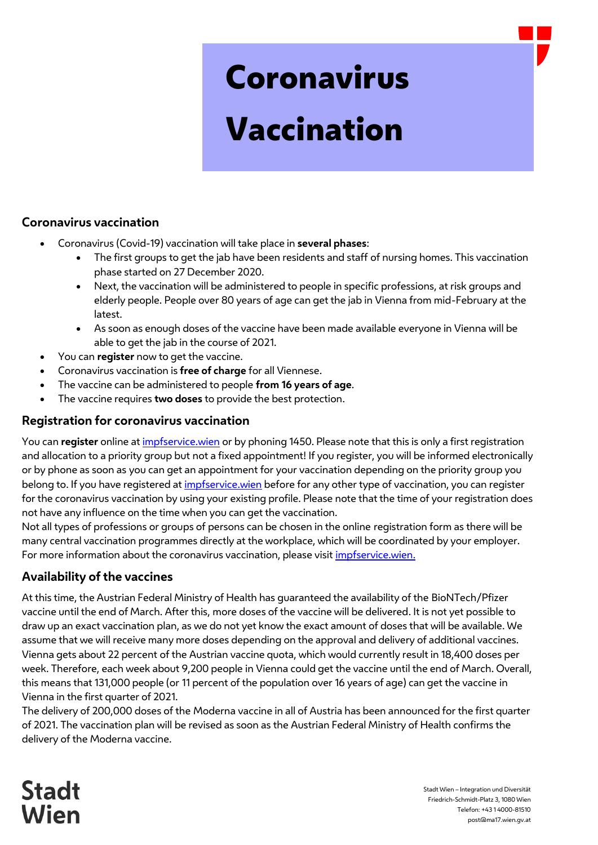# **Coronavirus**

# **Vaccination**

## **Coronavirus vaccination**

- Coronavirus (Covid-19) vaccination will take place in **several phases**:
	- The first groups to get the jab have been residents and staff of nursing homes. This vaccination phase started on 27 December 2020.
	- Next, the vaccination will be administered to people in specific professions, at risk groups and elderly people. People over 80 years of age can get the jab in Vienna from mid-February at the latest.
	- As soon as enough doses of the vaccine have been made available everyone in Vienna will be able to get the jab in the course of 2021.
- You can **register** now to get the vaccine.
- Coronavirus vaccination is **free of charge** for all Viennese.
- The vaccine can be administered to people **from 16 years of age**.
- The vaccine requires **two doses** to provide the best protection.

#### **Registration for coronavirus vaccination**

You can **register** online at [impfservice.wien](http://www.impfservice.wien/) or by phoning 1450. Please note that this is only a first registration and allocation to a priority group but not a fixed appointment! If you register, you will be informed electronically or by phone as soon as you can get an appointment for your vaccination depending on the priority group you belong to. If you have registered at *impfservice.wien* before for any other type of vaccination, you can register for the coronavirus vaccination by using your existing profile. Please note that the time of your registration does not have any influence on the time when you can get the vaccination.

Not all types of professions or groups of persons can be chosen in the online registration form as there will be many central vaccination programmes directly at the workplace, which will be coordinated by your employer. For more information about the coronavirus vaccination, please visit [impfservice.wien.](https://impfservice.wien/corona-schutzimpfung/)

# **Availability of the vaccines**

At this time, the Austrian Federal Ministry of Health has guaranteed the availability of the BioNTech/Pfizer vaccine until the end of March. After this, more doses of the vaccine will be delivered. It is not yet possible to draw up an exact vaccination plan, as we do not yet know the exact amount of doses that will be available. We assume that we will receive many more doses depending on the approval and delivery of additional vaccines. Vienna gets about 22 percent of the Austrian vaccine quota, which would currently result in 18,400 doses per week. Therefore, each week about 9,200 people in Vienna could get the vaccine until the end of March. Overall, this means that 131,000 people (or 11 percent of the population over 16 years of age) can get the vaccine in Vienna in the first quarter of 2021.

The delivery of 200,000 doses of the Moderna vaccine in all of Austria has been announced for the first quarter of 2021. The vaccination plan will be revised as soon as the Austrian Federal Ministry of Health confirms the delivery of the Moderna vaccine.

**Stadt** Wien

Stadt Wien – Integration und Diversität Friedrich-Schmidt-Platz 3, 1080 Wien Telefon: +43 1 4000-81510 post@ma17.wien.gv.at